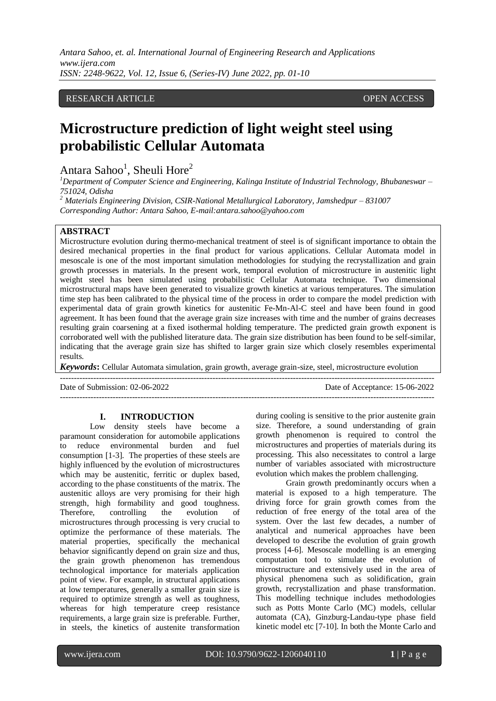# RESEARCH ARTICLE **OPEN ACCESS**

# **Microstructure prediction of light weight steel using probabilistic Cellular Automata**

Antara Sahoo<sup>1</sup>, Sheuli Hore<sup>2</sup>

*<sup>1</sup>Department of Computer Science and Engineering, Kalinga Institute of Industrial Technology, Bhubaneswar – 751024, Odisha*

*<sup>2</sup> Materials Engineering Division, CSIR-National Metallurgical Laboratory, Jamshedpur – 831007 Corresponding Author: Antara Sahoo, E-mail:antara.sahoo@yahoo.com*

# **ABSTRACT**

Microstructure evolution during thermo-mechanical treatment of steel is of significant importance to obtain the desired mechanical properties in the final product for various applications. Cellular Automata model in mesoscale is one of the most important simulation methodologies for studying the recrystallization and grain growth processes in materials. In the present work, temporal evolution of microstructure in austenitic light weight steel has been simulated using probabilistic Cellular Automata technique. Two dimensional microstructural maps have been generated to visualize growth kinetics at various temperatures. The simulation time step has been calibrated to the physical time of the process in order to compare the model prediction with experimental data of grain growth kinetics for austenitic Fe-Mn-Al-C steel and have been found in good agreement. It has been found that the average grain size increases with time and the number of grains decreases resulting grain coarsening at a fixed isothermal holding temperature. The predicted grain growth exponent is corroborated well with the published literature data. The grain size distribution has been found to be self-similar, indicating that the average grain size has shifted to larger grain size which closely resembles experimental results.

*Keywords***:** Cellular Automata simulation, grain growth, average grain-size, steel, microstructure evolution

---------------------------------------------------------------------------------------------------------------------------------------

Date of Submission: 02-06-2022 Date of Acceptance: 15-06-2022 ---------------------------------------------------------------------------------------------------------------------------------------

#### **I. INTRODUCTION**

Low density steels have become a paramount consideration for automobile applications to reduce environmental burden and fuel consumption [1-3]. The properties of these steels are highly influenced by the evolution of microstructures which may be austenitic, ferritic or duplex based, according to the phase constituents of the matrix. The austenitic alloys are very promising for their high strength, high formability and good toughness. Therefore, controlling the evolution of microstructures through processing is very crucial to optimize the performance of these materials. The material properties, specifically the mechanical behavior significantly depend on grain size and thus, the grain growth phenomenon has tremendous technological importance for materials application point of view. For example, in structural applications at low temperatures, generally a smaller grain size is required to optimize strength as well as toughness, whereas for high temperature creep resistance requirements, a large grain size is preferable. Further, in steels, the kinetics of austenite transformation during cooling is sensitive to the prior austenite grain size. Therefore, a sound understanding of grain growth phenomenon is required to control the microstructures and properties of materials during its processing. This also necessitates to control a large number of variables associated with microstructure evolution which makes the problem challenging.

Grain growth predominantly occurs when a material is exposed to a high temperature. The driving force for grain growth comes from the reduction of free energy of the total area of the system. Over the last few decades, a number of analytical and numerical approaches have been developed to describe the evolution of grain growth process [4-6]. Mesoscale modelling is an emerging computation tool to simulate the evolution of microstructure and extensively used in the area of physical phenomena such as solidification, grain growth, recrystallization and phase transformation. This modelling technique includes methodologies such as Potts Monte Carlo (MC) models, cellular automata (CA), Ginzburg-Landau-type phase field kinetic model etc [7-10]. In both the Monte Carlo and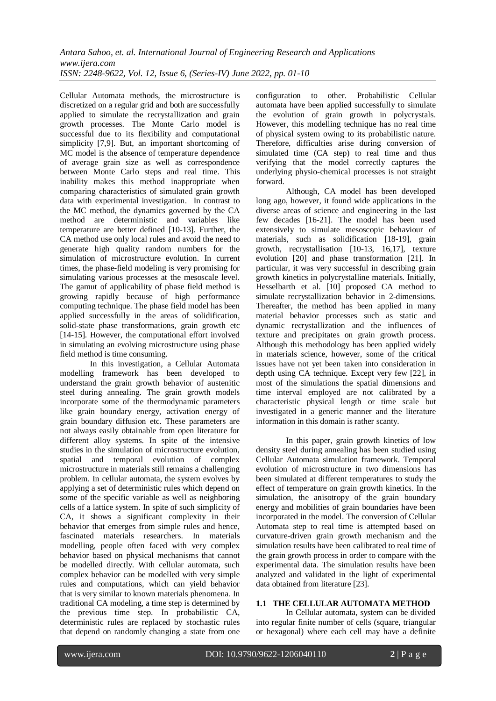Cellular Automata methods, the microstructure is discretized on a regular grid and both are successfully applied to simulate the recrystallization and grain growth processes. The Monte Carlo model is successful due to its flexibility and computational simplicity [7,9]. But, an important shortcoming of MC model is the absence of temperature dependence of average grain size as well as correspondence between Monte Carlo steps and real time. This inability makes this method inappropriate when comparing characteristics of simulated grain growth data with experimental investigation. In contrast to the MC method, the dynamics governed by the CA method are deterministic and variables like temperature are better defined [10-13]. Further, the CA method use only local rules and avoid the need to generate high quality random numbers for the simulation of microstructure evolution. In current times, the phase-field modeling is very promising for simulating various processes at the mesoscale level. The gamut of applicability of phase field method is growing rapidly because of high performance computing technique. The phase field model has been applied successfully in the areas of solidification, solid-state phase transformations, grain growth etc [14-15]. However, the computational effort involved in simulating an evolving microstructure using phase field method is time consuming.

In this investigation, a Cellular Automata modelling framework has been developed to understand the grain growth behavior of austenitic steel during annealing. The grain growth models incorporate some of the thermodynamic parameters like grain boundary energy, activation energy of grain boundary diffusion etc. These parameters are not always easily obtainable from open literature for different alloy systems. In spite of the intensive studies in the simulation of microstructure evolution, spatial and temporal evolution of complex microstructure in materials still remains a challenging problem. In cellular automata, the system evolves by applying a set of deterministic rules which depend on some of the specific variable as well as neighboring cells of a lattice system. In spite of such simplicity of CA, it shows a significant complexity in their behavior that emerges from simple rules and hence, fascinated materials researchers. In materials modelling, people often faced with very complex behavior based on physical mechanisms that cannot be modelled directly. With cellular automata, such complex behavior can be modelled with very simple rules and computations, which can yield behavior that is very similar to known materials phenomena. In traditional CA modeling, a time step is determined by the previous time step. In probabilistic CA, deterministic rules are replaced by stochastic rules that depend on randomly changing a state from one

configuration to other. Probabilistic Cellular automata have been applied successfully to simulate the evolution of grain growth in polycrystals. However, this modelling technique has no real time of physical system owing to its probabilistic nature. Therefore, difficulties arise during conversion of simulated time (CA step) to real time and thus verifying that the model correctly captures the underlying physio-chemical processes is not straight forward.

Although, CA model has been developed long ago, however, it found wide applications in the diverse areas of science and engineering in the last few decades [16-21]. The model has been used extensively to simulate mesoscopic behaviour of materials, such as solidification [18-19], grain growth, recrystallisation [10-13, 16,17], texture evolution [20] and phase transformation [21]. In particular, it was very successful in describing grain growth kinetics in polycrystalline materials. Initially, Hesselbarth et al. [10] proposed CA method to simulate recrystallization behavior in 2-dimensions. Thereafter, the method has been applied in many material behavior processes such as static and dynamic recrystallization and the influences of texture and precipitates on grain growth process. Although this methodology has been applied widely in materials science, however, some of the critical issues have not yet been taken into consideration in depth using CA technique. Except very few [22], in most of the simulations the spatial dimensions and time interval employed are not calibrated by a characteristic physical length or time scale but investigated in a generic manner and the literature information in this domain is rather scanty.

In this paper, grain growth kinetics of low density steel during annealing has been studied using Cellular Automata simulation framework. Temporal evolution of microstructure in two dimensions has been simulated at different temperatures to study the effect of temperature on grain growth kinetics. In the simulation, the anisotropy of the grain boundary energy and mobilities of grain boundaries have been incorporated in the model. The conversion of Cellular Automata step to real time is attempted based on curvature-driven grain growth mechanism and the simulation results have been calibrated to real time of the grain growth process in order to compare with the experimental data. The simulation results have been analyzed and validated in the light of experimental data obtained from literature [23].

## **1.1 THE CELLULAR AUTOMATA METHOD**

In Cellular automata, system can be divided into regular finite number of cells (square, triangular or hexagonal) where each cell may have a definite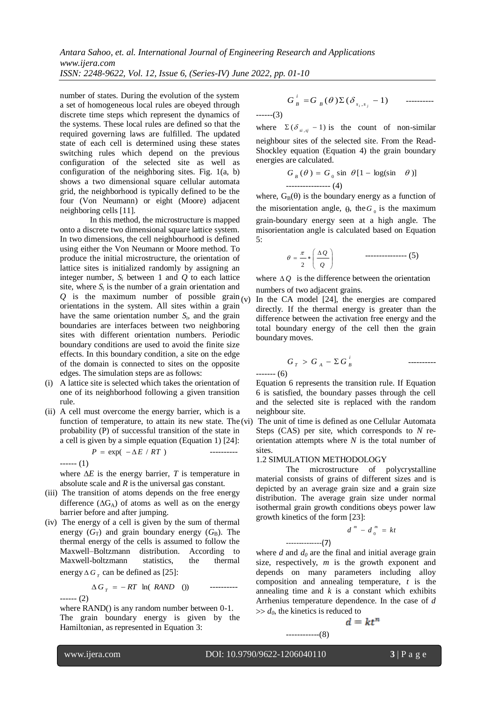*Antara Sahoo, et. al. International Journal of Engineering Research and Applications www.ijera.com*

*ISSN: 2248-9622, Vol. 12, Issue 6, (Series-IV) June 2022, pp. 01-10*

number of states. During the evolution of the system a set of homogeneous local rules are obeyed through discrete time steps which represent the dynamics of the systems. These local rules are defined so that the required governing laws are fulfilled. The updated state of each cell is determined using these states switching rules which depend on the previous configuration of the selected site as well as configuration of the neighboring sites. Fig. 1(a, b) shows a two dimensional square cellular automata grid, the neighborhood is typically defined to be the four (Von Neumann) or eight (Moore) adjacent neighboring cells [11].

In this method, the microstructure is mapped onto a discrete two dimensional square lattice system. In two dimensions, the cell neighbourhood is defined using either the Von Neumann or Moore method. To produce the initial microstructure, the orientation of lattice sites is initialized randomly by assigning an integer number,  $S_i$  between 1 and  $Q$  to each lattice site, where  $S_i$  is the number of a grain orientation and *Q* is the maximum number of possible grain  $(v)$ orientations in the system. All sites within a grain have the same orientation number  $S_i$ , and the grain boundaries are interfaces between two neighboring sites with different orientation numbers. Periodic boundary conditions are used to avoid the finite size effects. In this boundary condition, a site on the edge of the domain is connected to sites on the opposite edges. The simulation steps are as follows:

- (i) A lattice site is selected which takes the orientation of one of its neighborhood following a given transition rule.
- (ii) A cell must overcome the energy barrier, which is a function of temperature, to attain its new state. The  $(vi)$ probability (P) of successful transition of the state in a cell is given by a simple equation (Equation 1) [24]:

$$
P = \exp(-\Delta E / RT) \qquad \qquad \text{---}
$$

$$
\cdots(1)
$$

where  $\Delta E$  is the energy barrier, *T* is temperature in absolute scale and *R* is the universal gas constant.

- (iii) The transition of atoms depends on the free energy difference  $(\Delta G_A)$  of atoms as well as on the energy barrier before and after jumping.
- (iv) The energy of a cell is given by the sum of thermal energy  $(G_T)$  and grain boundary energy  $(G_B)$ . The thermal energy of the cells is assumed to follow the Maxwell–Boltzmann distribution. According to Maxwell-boltzmann statistics, the thermal energy  $\Delta G$ <sub>r</sub> can be defined as [25]:

$$
\Delta G_T = -RT \ln(RAND \quad 0)
$$

where RAND() is any random number between  $0-1$ . The grain boundary energy is given by the Hamiltonian, as represented in Equation 3:

( ) ( 1) , *i j B s s i G <sup>B</sup> G* ---------- ------(3)

where  $\Sigma(\delta_{si,sj} - 1)$  is the count of non-similar neighbour sites of the selected site. From the Read-Shockley equation (Equation 4) the grain boundary energies are calculated.

$$
G_B(\theta) = G_0 \sin \theta [1 - \log(\sin \theta)]
$$
  
................. (4)

where,  $G_B(\theta)$  is the boundary energy as a function of the misorientation angle,  $\theta$ , the  $G_0$  is the maximum grain-boundary energy seen at a high angle. The misorientation angle is calculated based on Equation 5:

$$
\theta = \frac{\pi}{2} * \left( \frac{\Delta Q}{Q} \right) \qquad \qquad \text{---}
$$
 (5)

where  $\Delta Q$  is the difference between the orientation numbers of two adjacent grains.

In the CA model [24], the energies are compared directly. If the thermal energy is greater than the difference between the activation free energy and the total boundary energy of the cell then the grain boundary moves.

$$
G_T > G_A - \Sigma G_B^i
$$

------- (6)

Equation 6 represents the transition rule. If Equation 6 is satisfied, the boundary passes through the cell and the selected site is replaced with the random neighbour site.

The unit of time is defined as one Cellular Automata Steps (CAS) per site, which corresponds to *N* reorientation attempts where *N* is the total number of sites.

#### 1.2 SIMULATION METHODOLOGY

--------------(7)

------------(8)

The microstructure of polycrystalline material consists of grains of different sizes and is depicted by an average grain size and a grain size distribution. The average grain size under normal isothermal grain growth conditions obeys power law growth kinetics of the form [23]:

$$
d^m - d_0^m = kt
$$

where  $d$  and  $d_0$  are the final and initial average grain size, respectively, *m* is the growth exponent and depends on many parameters including alloy composition and annealing temperature, *t* is the annealing time and  $k$  is a constant which exhibits Arrhenius temperature dependence. In the case of *d*   $\gg d_0$ , the kinetics is reduced to

$$
d=kt^n
$$

l

------ (2)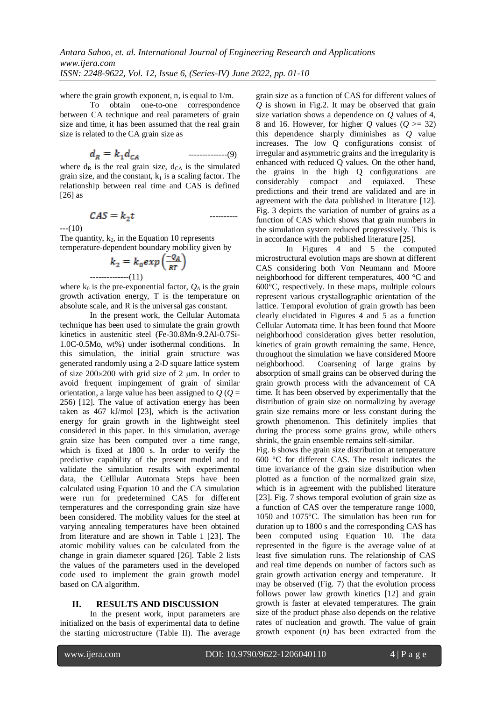----------

where the grain growth exponent, n, is equal to  $1/m$ .

To obtain one-to-one correspondence between CA technique and real parameters of grain size and time, it has been assumed that the real grain size is related to the CA grain size as

--------------(9)

where  $d_R$  is the real grain size,  $d_{CA}$  is the simulated grain size, and the constant,  $k_1$  is a scaling factor. The relationship between real time and CAS is defined  $[26]$  as

$$
CAS = k_2 t
$$

 $---(10)$ 

The quantity,  $k_2$ , in the Equation 10 represents temperature-dependent boundary mobility given by

$$
k_2 = k_0 \exp\left(\frac{-Q_A}{RT}\right)
$$
  
.................(11)

where  $k_0$  is the pre-exponential factor,  $Q_A$  is the grain growth activation energy, T is the temperature on absolute scale, and R is the universal gas constant.

In the present work, the Cellular Automata technique has been used to simulate the grain growth kinetics in austenitic steel (Fe-30.8Mn-9.2Al-0.7Si-1.0C-0.5Mo, wt%) under isothermal conditions. In this simulation, the initial grain structure was generated randomly using a 2-D square lattice system of size  $200\times200$  with grid size of 2 µm. In order to avoid frequent impingement of grain of similar orientation, a large value has been assigned to  $Q(Q=$ 256) [12]. The value of activation energy has been taken as 467 kJ/mol [23], which is the activation energy for grain growth in the lightweight steel considered in this paper. In this simulation, average grain size has been computed over a time range, which is fixed at 1800 s. In order to verify the predictive capability of the present model and to validate the simulation results with experimental data, the Celllular Automata Steps have been calculated using Equation 10 and the CA simulation were run for predetermined CAS for different temperatures and the corresponding grain size have been considered. The mobility values for the steel at varying annealing temperatures have been obtained from literature and are shown in Table 1 [23]. The atomic mobility values can be calculated from the change in grain diameter squared [26]. Table 2 lists the values of the parameters used in the developed code used to implement the grain growth model based on CA algorithm.

## **II. RESULTS AND DISCUSSION**

In the present work, input parameters are initialized on the basis of experimental data to define the starting microstructure (Table II). The average grain size as a function of CAS for different values of *Q* is shown in Fig.2. It may be observed that grain size variation shows a dependence on *Q* values of 4, 8 and 16. However, for higher *Q* values ( $Q \ge 32$ ) this dependence sharply diminishes as *Q* value increases. The low Q configurations consist of irregular and asymmetric grains and the irregularity is enhanced with reduced Q values. On the other hand, the grains in the high Q configurations are considerably compact and equiaxed. These predictions and their trend are validated and are in agreement with the data published in literature [12]. Fig. 3 depicts the variation of number of grains as a function of CAS which shows that grain numbers in the simulation system reduced progressively. This is in accordance with the published literature [25].

In Figures 4 and 5 the computed microstructural evolution maps are shown at different CAS considering both Von Neumann and Moore neighborhood for different temperatures, 400 °C and 600°C, respectively. In these maps, multiple colours represent various crystallographic orientation of the lattice. Temporal evolution of grain growth has been clearly elucidated in Figures 4 and 5 as a function Cellular Automata time. It has been found that Moore neighborhood consideration gives better resolution, kinetics of grain growth remaining the same. Hence, throughout the simulation we have considered Moore neighborhood. Coarsening of large grains by absorption of small grains can be observed during the grain growth process with the advancement of CA time. It has been observed by experimentally that the distribution of grain size on normalizing by average grain size remains more or less constant during the growth phenomenon. This definitely implies that during the process some grains grow, while others shrink, the grain ensemble remains self-similar.

Fig. 6 shows the grain size distribution at temperature 600 °C for different CAS. The result indicates the time invariance of the grain size distribution when plotted as a function of the normalized grain size, which is in agreement with the published literature [23]. Fig. 7 shows temporal evolution of grain size as a function of CAS over the temperature range 1000, 1050 and 1075°C. The simulation has been run for duration up to 1800 s and the corresponding CAS has been computed using Equation 10. The data represented in the figure is the average value of at least five simulation runs. The relationship of CAS and real time depends on number of factors such as grain growth activation energy and temperature. It may be observed (Fig. 7) that the evolution process follows power law growth kinetics [12] and grain growth is faster at elevated temperatures. The grain size of the product phase also depends on the relative rates of nucleation and growth. The value of grain growth exponent (*n)* has been extracted from the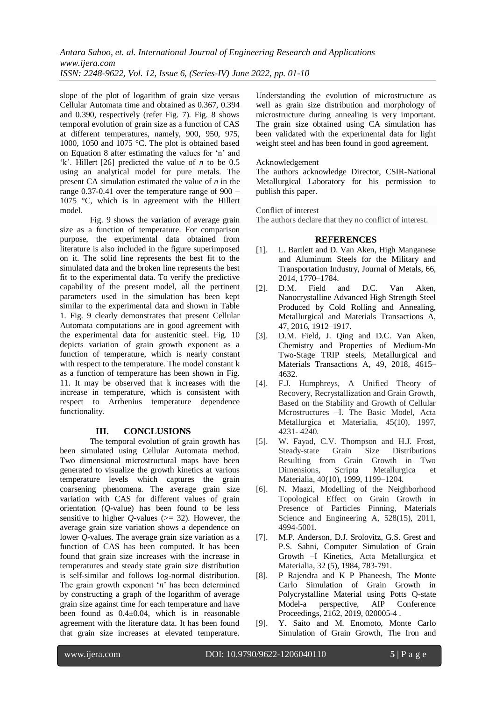slope of the plot of logarithm of grain size versus Cellular Automata time and obtained as 0.367, 0.394 and 0.390, respectively (refer Fig. 7). Fig. 8 shows temporal evolution of grain size as a function of CAS at different temperatures, namely, 900, 950, 975, 1000, 1050 and 1075 °C. The plot is obtained based on Equation 8 after estimating the values for 'n' and 'k'. Hillert [26] predicted the value of *n* to be 0.5 using an analytical model for pure metals. The present CA simulation estimated the value of *n* in the range 0.37-0.41 over the temperature range of 900 – 1075 °C, which is in agreement with the Hillert model.

Fig. 9 shows the variation of average grain size as a function of temperature. For comparison purpose, the experimental data obtained from literature is also included in the figure superimposed on it. The solid line represents the best fit to the simulated data and the broken line represents the best fit to the experimental data. To verify the predictive capability of the present model, all the pertinent parameters used in the simulation has been kept similar to the experimental data and shown in Table 1. Fig. 9 clearly demonstrates that present Cellular Automata computations are in good agreement with the experimental data for austenitic steel. Fig. 10 depicts variation of grain growth exponent as a function of temperature, which is nearly constant with respect to the temperature. The model constant k as a function of temperature has been shown in Fig. 11. It may be observed that k increases with the increase in temperature, which is consistent with respect to Arrhenius temperature dependence functionality.

# **III. CONCLUSIONS**

The temporal evolution of grain growth has been simulated using Cellular Automata method. Two dimensional microstructural maps have been generated to visualize the growth kinetics at various temperature levels which captures the grain coarsening phenomena. The average grain size variation with CAS for different values of grain orientation (*Q*-value) has been found to be less sensitive to higher  $Q$ -values ( $>$ = 32). However, the average grain size variation shows a dependence on lower *Q*-values. The average grain size variation as a function of CAS has been computed. It has been found that grain size increases with the increase in temperatures and steady state grain size distribution is self-similar and follows log-normal distribution. The grain growth exponent '*n*' has been determined by constructing a graph of the logarithm of average grain size against time for each temperature and have been found as 0.4±0.04, which is in reasonable agreement with the literature data. It has been found that grain size increases at elevated temperature.

Understanding the evolution of microstructure as well as grain size distribution and morphology of microstructure during annealing is very important. The grain size obtained using CA simulation has been validated with the experimental data for light weight steel and has been found in good agreement.

# Acknowledgement

The authors acknowledge Director, CSIR-National Metallurgical Laboratory for his permission to publish this paper.

Conflict of interest

The authors declare that they no conflict of interest.

# **REFERENCES**

- [1]. L. Bartlett and D. Van Aken, High Manganese and Aluminum Steels for the Military and Transportation Industry, Journal of Metals, 66, 2014, 1770–1784.
- [2]. D.M. Field and D.C. Van Aken, Nanocrystalline Advanced High Strength Steel Produced by Cold Rolling and Annealing, Metallurgical and Materials Transactions A, 47, 2016, 1912–1917.
- [3]. D.M. Field, J. Qing and D.C. Van Aken, Chemistry and Properties of Medium-Mn Two-Stage TRIP steels, Metallurgical and Materials Transactions A, 49, 2018, 4615– 4632.
- [4]. F.J. Humphreys, A Unified Theory of Recovery, Recrystallization and Grain Growth, Based on the Stability and Growth of Cellular Mcrostructures –I. The Basic Model, Acta Metallurgica et Materialia, 45(10), 1997, 4231- 4240.
- [5]. W. Fayad, C.V. Thompson and H.J. Frost, Steady-state Grain Size Distributions Resulting from Grain Growth in Two Dimensions, Scripta Metallurgica et Materialia, 40(10), 1999, 1199–1204.
- [6]. N. Maazi, Modelling of the Neighborhood Topological Effect on Grain Growth in Presence of Particles Pinning, Materials Science and Engineering A, 528(15), 2011, 4994-5001.
- [7]. M.P. Anderson, D.J. Srolovitz, G.S. Grest and P.S. Sahni, Computer Simulation of Grain Growth –I Kinetics, Acta Metallurgica et Materialia, 32 (5), 1984, 783-791.
- [8]. P Rajendra and K P Phaneesh, The Monte Carlo Simulation of Grain Growth in Polycrystalline Material using Potts Q-state Model-a perspective, AIP Conference Proceedings, 2162, 2019, 020005-4 .
- [9]. Y. Saito and M. Enomoto, Monte Carlo Simulation of Grain Growth, The Iron and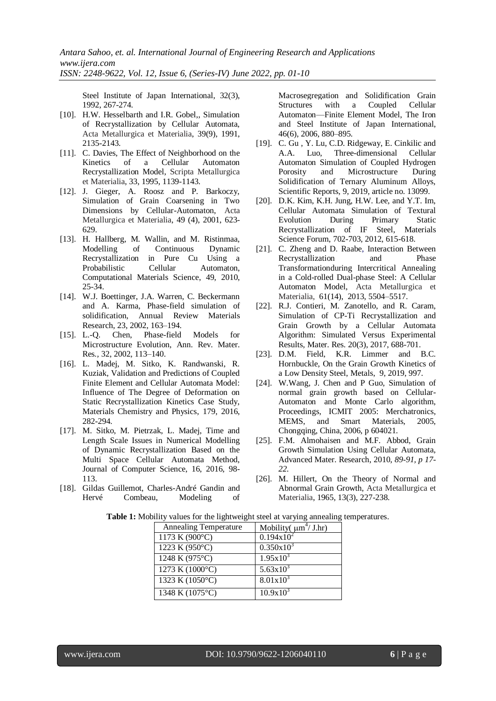Steel Institute of Japan International, 32(3), 1992, 267-274.

- [10]. H.W. Hesselbarth and I.R. Gobel,, Simulation of Recrystallization by Cellular Automata, Acta Metallurgica et Materialia, 39(9), 1991, 2135-2143.
- [11]. C. Davies, The Effect of Neighborhood on the Kinetics of a Cellular Automaton Recrystallization Model, Scripta Metallurgica et Materialia, 33, 1995, 1139-1143.
- [12]. J. Gieger, A. Roosz and P. Barkoczy, Simulation of Grain Coarsening in Two Dimensions by Cellular-Automaton, Acta Metallurgica et Materialia, 49 (4), 2001, 623- 629.
- [13]. H. Hallberg, M. Wallin, and M. Ristinmaa, Modelling of Continuous Dynamic Recrystallization in Pure Cu Using a Probabilistic Cellular Automaton, Computational Materials Science, 49, 2010, 25-34.
- [14]. W.J. Boettinger, J.A. Warren, C. Beckermann and A. Karma, Phase-field simulation of solidification, Annual Review Materials Research, 23, 2002, 163–194.
- [15]. L.-Q. Chen, Phase-field Models for Microstructure Evolution, Ann. Rev. Mater. Res*.,* 32, 2002*,* 113–140.
- [16]. L. Madej, M. Sitko, K. Randwanski, R. Kuziak, Validation and Predictions of Coupled Finite Element and Cellular Automata Model: Influence of The Degree of Deformation on Static Recrystallization Kinetics Case Study, Materials Chemistry and Physics, 179, 2016, 282-294.
- [17]. M. Sitko, M. Pietrzak, L. Madej, Time and Length Scale Issues in Numerical Modelling of Dynamic Recrystallization Based on the Multi Space Cellular Automata Method, Journal of Computer Science, 16, 2016, 98- 113.
- [18]. Gildas Guillemot, Charles-André Gandin and Hervé Combeau, Modeling of

Macrosegregation and Solidification Grain Structures with a Coupled Cellular Automaton—Finite Element Model, The Iron and Steel Institute of Japan International, 46(6), 2006, 880–895.

- [19]. C. Gu , Y. Lu, C.D. Ridgeway, E. Cinkilic and A.A. Luo, Three-dimensional Cellular Automaton Simulation of Coupled Hydrogen Porosity and Microstructure During Solidification of Ternary Aluminum Alloys, Scientific Reports, 9, 2019, article no. 13099.
- [20]. D.K. Kim, K.H. Jung, H.W. Lee, and Y.T. Im, Cellular Automata Simulation of Textural Evolution During Primary Static Recrystallization of IF Steel, Materials Science Forum, 702-703, 2012, 615-618.
- [21]. C. Zheng and D. Raabe, Interaction Between Recrystallization and Phase Transformationduring Intercritical Annealing in a Cold-rolled Dual-phase Steel: A Cellular Automaton Model, Acta Metallurgica et Materialia, 61(14), 2013, 5504–5517.
- [22]. R.J. Contieri, M. Zanotello, and R. Caram, Simulation of CP-Ti Recrystallization and Grain Growth by a Cellular Automata Algorithm: Simulated Versus Experimental Results, Mater. Res. 20(3), 2017, 688-701.
- [23]. D.M. Field, K.R. Limmer and B.C. Hornbuckle, On the Grain Growth Kinetics of a Low Density Steel, Metals, 9, 2019, 997.
- [24]. W.Wang, J. Chen and P Guo, Simulation of normal grain growth based on Cellular-Automaton and Monte Carlo algorithm, Proceedings, ICMIT 2005: Merchatronics, MEMS, and Smart Materials, 2005, Chongqing, China, 2006, p 604021.
- [25]. F.M. Almohaisen and M.F. Abbod, Grain Growth Simulation Using Cellular Automata, Advanced Mater. Research, 2010, *89-91, p 17- 22.*
- [26]. M. Hillert, On the Theory of Normal and Abnormal Grain Growth, Acta Metallurgica et Materialia, 1965, 13(3), 227-238.

| <b>Annealing Temperature</b> | Mobility( $\mu m^4$ / J.hr) |
|------------------------------|-----------------------------|
| 1173 K (900°C)               | $0.194x10^2$                |
| 1223 K (950°C)               | $0.350x10^3$                |
| 1248 K (975°C)               | $1.95x10^{3}$               |
| 1273 K $(1000^{\circ}C)$     | $5.63 \times 10^{3}$        |
| 1323 K (1050°C)              | $8.01x10^{3}$               |
| 1348 K (1075°C)              | $10.9x10^{3}$               |

**Table 1:** Mobility values for the lightweight steel at varying annealing temperatures.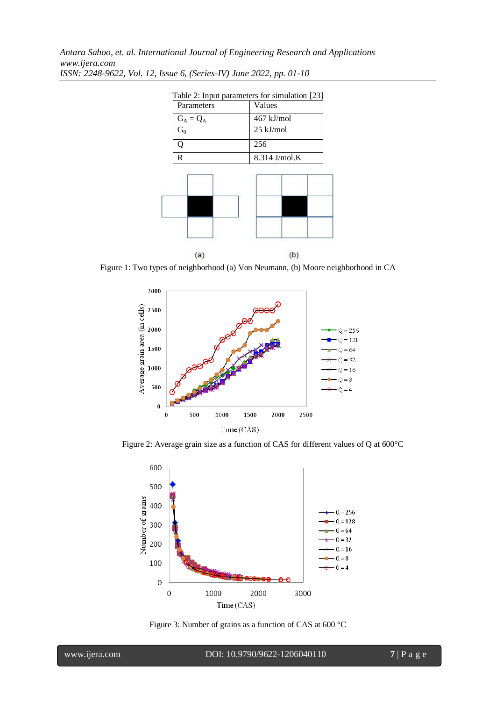| Table 2: Input parameters for simulation [23] |               |
|-----------------------------------------------|---------------|
| Parameters                                    | Values        |
| $G_A = Q_A$                                   | $467$ kJ/mol  |
| $G_0$                                         | 25 kJ/mol     |
|                                               | 256           |
| R                                             | 8.314 J/mol.K |



Figure 1: Two types of neighborhood (a) Von Neumann, (b) Moore neighborhood in CA



Figure 2: Average grain size as a function of CAS for different values of Q at 600°C



Figure 3: Number of grains as a function of CAS at 600 °C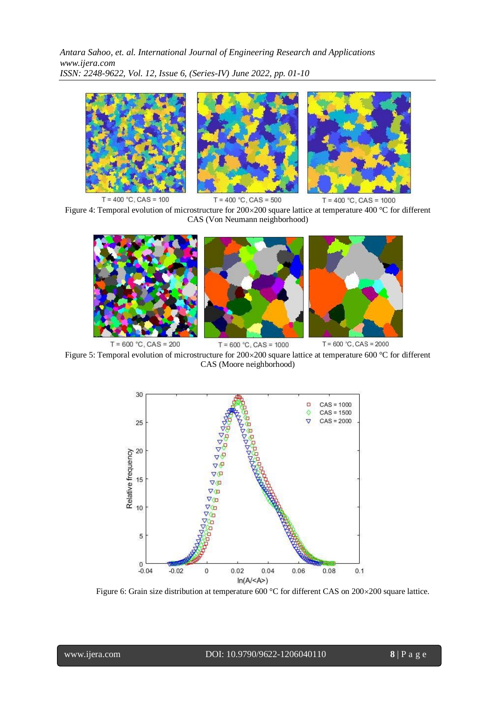

Figure 4: Temporal evolution of microstructure for  $200\times200$  square lattice at temperature 400 °C for different CAS (Von Neumann neighborhood)



 $T = 600 °C$ , CAS = 1000 Figure 5: Temporal evolution of microstructure for  $200 \times 200$  square lattice at temperature 600 °C for different CAS (Moore neighborhood)



Figure 6: Grain size distribution at temperature 600 °C for different CAS on 200×200 square lattice.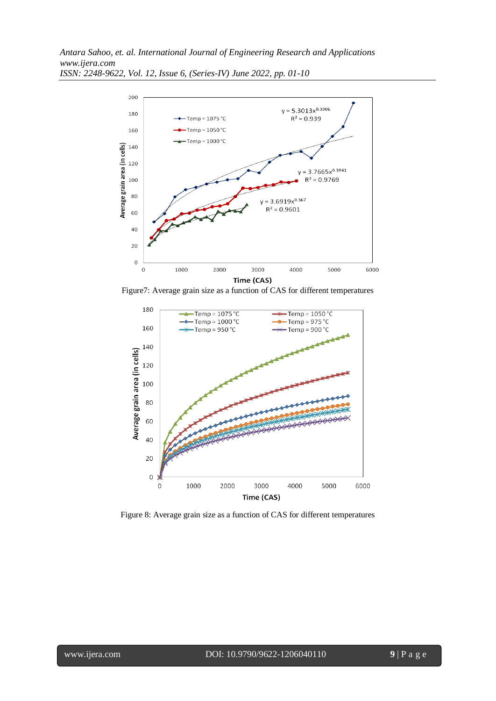

Figure7: Average grain size as a function of CAS for different temperatures



Figure 8: Average grain size as a function of CAS for different temperatures